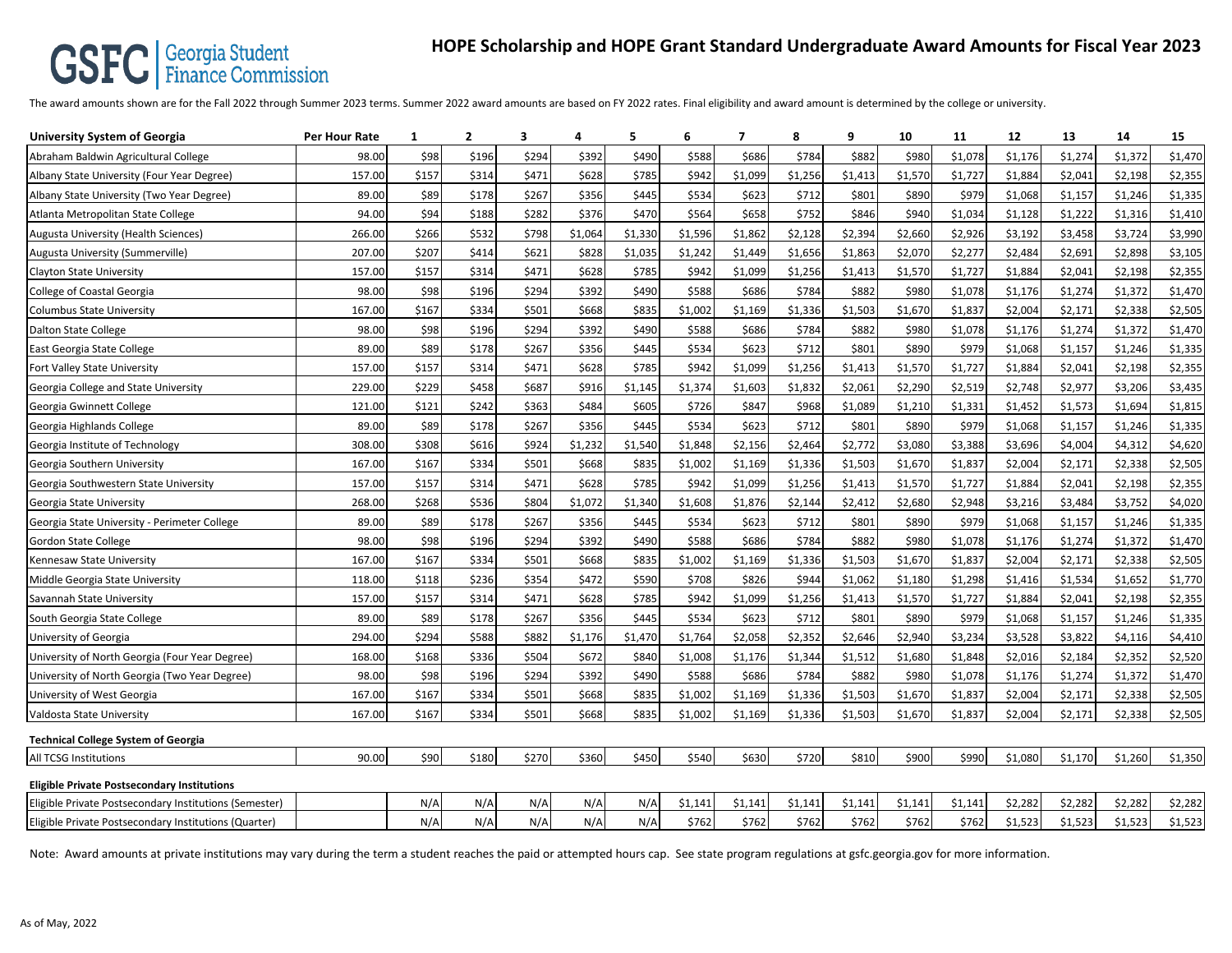## **CONC** Summission Finance Commission **HOPE Scholarship and HOPE Grant Standard Undergraduate Award Amounts for Fiscal Year 2023**

The award amounts shown are for the Fall 2022 through Summer 2023 terms. Summer 2022 award amounts are based on FY 2022 rates. Final eligibility and award amount is determined by the college or university.

| <b>University System of Georgia</b>                    | <b>Per Hour Rate</b> | 1     | 2     | 3     | 4       | 5       | 6       | 7       | 8       | 9       | 10      | 11      | 12      | 13      | 14      | 15      |
|--------------------------------------------------------|----------------------|-------|-------|-------|---------|---------|---------|---------|---------|---------|---------|---------|---------|---------|---------|---------|
| Abraham Baldwin Agricultural College                   | 98.00                | \$98  | \$196 | \$294 | \$392   | \$490   | \$588   | \$686   | \$784   | \$882   | \$980   | \$1,078 | \$1,176 | \$1,274 | \$1,372 | \$1,470 |
| Albany State University (Four Year Degree)             | 157.00               | \$157 | \$314 | \$471 | \$628   | \$785   | \$942   | \$1,099 | \$1,256 | \$1,413 | \$1,570 | \$1,727 | \$1,884 | \$2,041 | \$2,198 | \$2,355 |
| Albany State University (Two Year Degree)              | 89.00                | \$89  | \$178 | \$267 | \$356   | \$445   | \$534   | \$623   | \$712   | \$801   | \$890   | \$979   | \$1,068 | \$1,157 | \$1,246 | \$1,335 |
| Atlanta Metropolitan State College                     | 94.00                | \$94  | \$188 | \$282 | \$376   | \$470   | \$564   | \$658   | \$752   | \$846   | \$940   | \$1,034 | \$1,128 | \$1,222 | \$1,316 | \$1,410 |
| Augusta University (Health Sciences)                   | 266.00               | \$266 | \$532 | \$798 | \$1,064 | \$1,330 | \$1,596 | \$1,862 | \$2,128 | \$2,394 | \$2,660 | \$2,926 | \$3,192 | \$3,458 | \$3,724 | \$3,990 |
| Augusta University (Summerville)                       | 207.00               | \$207 | \$414 | \$621 | \$828   | \$1,035 | \$1,242 | \$1,449 | \$1,656 | \$1,863 | \$2,070 | \$2,277 | \$2,484 | \$2,691 | \$2,898 | \$3,105 |
| <b>Clayton State University</b>                        | 157.00               | \$157 | \$314 | \$471 | \$628   | \$785   | \$942   | \$1,099 | \$1,256 | \$1,413 | \$1,570 | \$1,727 | \$1,884 | \$2,041 | \$2,198 | \$2,355 |
| College of Coastal Georgia                             | 98.00                | \$98  | \$196 | \$294 | \$392   | \$490   | \$588   | \$686   | \$784   | \$882   | \$980   | \$1,078 | \$1,176 | \$1,274 | \$1,372 | \$1,470 |
| <b>Columbus State University</b>                       | 167.00               | \$167 | \$334 | \$501 | \$668   | \$835   | \$1,002 | \$1,169 | \$1,336 | \$1,503 | \$1,670 | \$1,837 | \$2,004 | \$2,171 | \$2,338 | \$2,505 |
| <b>Dalton State College</b>                            | 98.00                | \$98  | \$196 | \$294 | \$392   | \$490   | \$588   | \$686   | \$784   | \$882   | \$980   | \$1,078 | \$1,176 | \$1,274 | \$1,372 | \$1,470 |
| East Georgia State College                             | 89.00                | \$89  | \$178 | \$267 | \$356   | \$445   | \$534   | \$623   | \$712   | \$801   | \$890   | \$979   | \$1,068 | \$1,157 | \$1,246 | \$1,335 |
| Fort Valley State University                           | 157.00               | \$157 | \$314 | \$471 | \$628   | \$785   | \$942   | \$1,099 | \$1,256 | \$1,413 | \$1,570 | \$1,727 | \$1,884 | \$2,041 | \$2,198 | \$2,355 |
| Georgia College and State University                   | 229.00               | \$229 | \$458 | \$687 | \$916   | \$1,145 | \$1,374 | \$1,603 | \$1,832 | \$2,061 | \$2,290 | \$2,519 | \$2,748 | \$2,977 | \$3,206 | \$3,435 |
| Georgia Gwinnett College                               | 121.00               | \$121 | \$242 | \$363 | \$484   | \$605   | \$726   | \$847   | \$968   | \$1,089 | \$1,210 | \$1,331 | \$1,452 | \$1,573 | \$1,694 | \$1,815 |
| Georgia Highlands College                              | 89.00                | \$89  | \$178 | \$267 | \$356   | \$445   | \$534   | \$623   | \$712   | \$801   | \$890   | \$979   | \$1,068 | \$1,157 | \$1,246 | \$1,335 |
| Georgia Institute of Technology                        | 308.00               | \$308 | \$616 | \$924 | \$1,232 | \$1,540 | \$1,848 | \$2,156 | \$2,464 | \$2,772 | \$3,080 | \$3,388 | \$3,696 | \$4,004 | \$4,312 | \$4,620 |
| Georgia Southern University                            | 167.00               | \$167 | \$334 | \$501 | \$668   | \$835   | \$1,002 | \$1,169 | \$1,336 | \$1,503 | \$1,670 | \$1,837 | \$2,004 | \$2,171 | \$2,338 | \$2,505 |
| Georgia Southwestern State University                  | 157.00               | \$157 | \$314 | \$471 | \$628   | \$785   | \$942   | \$1,099 | \$1,256 | \$1,413 | \$1,570 | \$1,727 | \$1,884 | \$2,041 | \$2,198 | \$2,355 |
| Georgia State University                               | 268.00               | \$268 | \$536 | \$804 | \$1,072 | \$1,340 | \$1,608 | \$1,876 | \$2,144 | \$2,412 | \$2,680 | \$2,948 | \$3,216 | \$3,484 | \$3,752 | \$4,020 |
| Georgia State University - Perimeter College           | 89.00                | \$89  | \$178 | \$267 | \$356   | \$445   | \$534   | \$623   | \$712   | \$801   | \$890   | \$979   | \$1,068 | \$1,157 | \$1,246 | \$1,335 |
| <b>Gordon State College</b>                            | 98.00                | \$98  | \$196 | \$294 | \$392   | \$490   | \$588   | \$686   | \$784   | \$882   | \$980   | \$1,078 | \$1,176 | \$1,274 | \$1,372 | \$1,470 |
| Kennesaw State University                              | 167.00               | \$167 | \$334 | \$501 | \$668   | \$835   | \$1,002 | \$1,169 | \$1,336 | \$1,503 | \$1,670 | \$1,837 | \$2,004 | \$2,171 | \$2,338 | \$2,505 |
| Middle Georgia State University                        | 118.00               | \$118 | \$236 | \$354 | \$472   | \$590   | \$708   | \$826   | \$944   | \$1,062 | \$1,180 | \$1,298 | \$1,416 | \$1,534 | \$1,652 | \$1,770 |
| Savannah State University                              | 157.00               | \$157 | \$314 | \$471 | \$628   | \$785   | \$942   | \$1,099 | \$1,256 | \$1,413 | \$1,570 | \$1,727 | \$1,884 | \$2,041 | \$2,198 | \$2,355 |
| South Georgia State College                            | 89.00                | \$89  | \$178 | \$267 | \$356   | \$445   | \$534   | \$623   | \$712   | \$801   | \$890   | \$979   | \$1,068 | \$1,157 | \$1,246 | \$1,335 |
| University of Georgia                                  | 294.00               | \$294 | \$588 | \$882 | \$1,176 | \$1,470 | \$1,764 | \$2,058 | \$2,352 | \$2,646 | \$2,940 | \$3,234 | \$3,528 | \$3,822 | \$4,116 | \$4,410 |
| University of North Georgia (Four Year Degree)         | 168.00               | \$168 | \$336 | \$504 | \$672   | \$840   | \$1,008 | \$1,176 | \$1,344 | \$1,512 | \$1,680 | \$1,848 | \$2,016 | \$2,184 | \$2,352 | \$2,520 |
| University of North Georgia (Two Year Degree)          | 98.00                | \$98  | \$196 | \$294 | \$392   | \$490   | \$588   | \$686   | \$784   | \$882   | \$980   | \$1,078 | \$1,176 | \$1,274 | \$1,372 | \$1,470 |
| University of West Georgia                             | 167.00               | \$167 | \$334 | \$501 | \$668   | \$835   | \$1,002 | \$1,169 | \$1,336 | \$1,503 | \$1,670 | \$1,837 | \$2,004 | \$2,171 | \$2,338 | \$2,505 |
| Valdosta State University                              | 167.00               | \$167 | \$334 | \$501 | \$668   | \$835   | \$1,002 | \$1,169 | \$1,336 | \$1,503 | \$1,670 | \$1,837 | \$2,004 | \$2,171 | \$2,338 | \$2,505 |
| <b>Technical College System of Georgia</b>             |                      |       |       |       |         |         |         |         |         |         |         |         |         |         |         |         |
| All TCSG Institutions                                  | 90.00                | \$90  | \$180 | \$270 | \$360   | \$450   | \$540   | \$630   | \$720   | \$810   | \$900   | \$990   | \$1,080 | \$1,170 | \$1,260 | \$1,350 |
| <b>Eligible Private Postsecondary Institutions</b>     |                      |       |       |       |         |         |         |         |         |         |         |         |         |         |         |         |
| Eligible Private Postsecondary Institutions (Semester) |                      | N/A   | N/A   | N/A   | N/A     | N/A     | \$1,141 | \$1,141 | \$1,141 | \$1,141 | \$1,141 | \$1,141 | \$2,282 | \$2,282 | \$2,282 | \$2,282 |
| Eligible Private Postsecondary Institutions (Quarter)  |                      | N/A   | N/A   | N/A   | N/A     | N/A     | \$762   | \$762   | \$762   | \$762   | \$762   | \$762   | \$1,523 | \$1,523 | \$1,523 | \$1,523 |

Note: Award amounts at private institutions may vary during the term a student reaches the paid or attempted hours cap. See state program regulations at gsfc.georgia.gov for more information.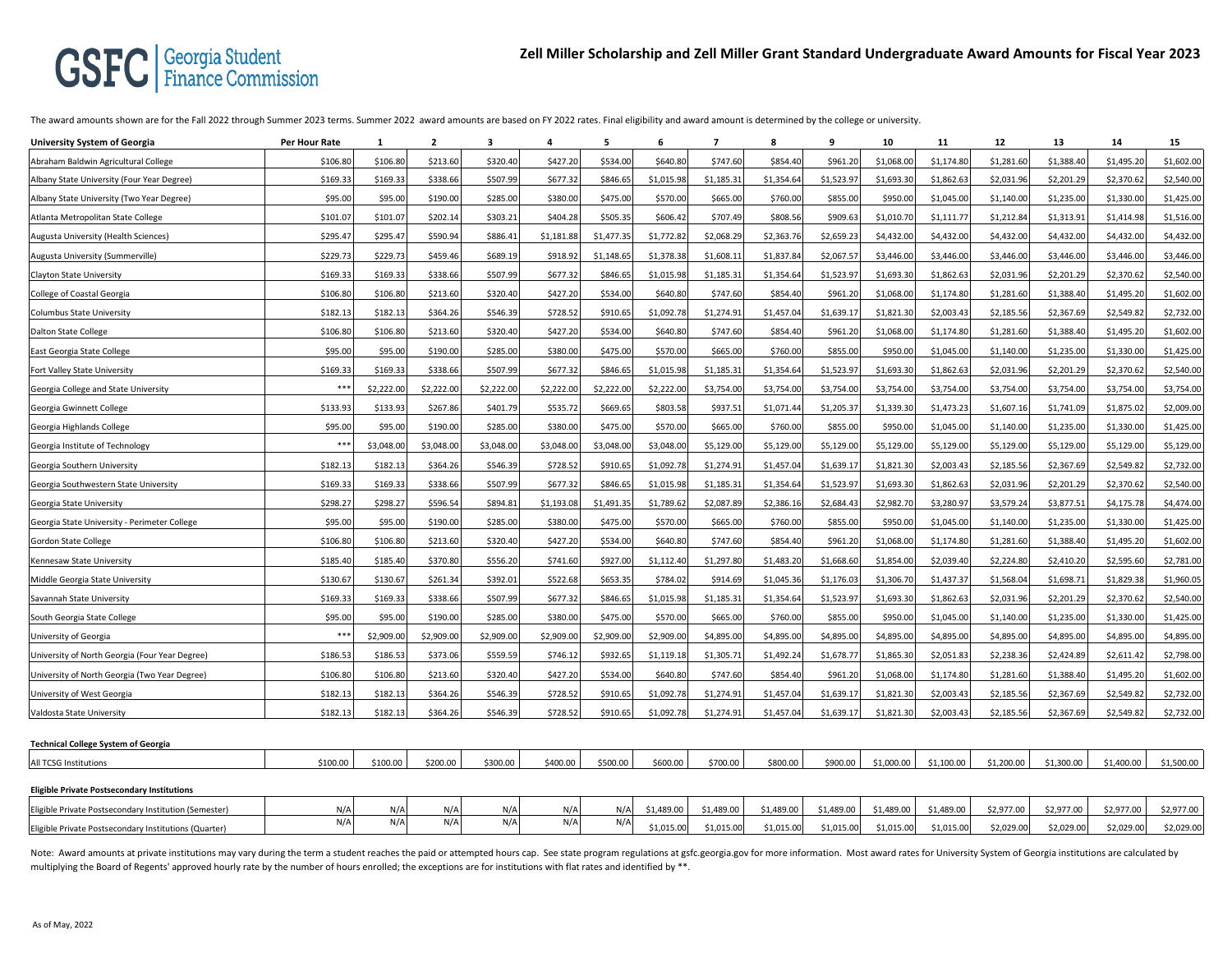## **GSFC** | Georgia Student

The award amounts shown are for the Fall 2022 through Summer 2023 terms. Summer 2022 award amounts are based on FY 2022 rates. Final eligibility and award amount is determined by the college or university.

| <b>University System of Georgia</b>                   | Per Hour Rate | 1          | $\mathbf{2}$ | 3          | 4          | 5          | 6          | 7          | 8          | 9          | 10         | 11         | 12         | 13         | 14         | 15         |
|-------------------------------------------------------|---------------|------------|--------------|------------|------------|------------|------------|------------|------------|------------|------------|------------|------------|------------|------------|------------|
| Abraham Baldwin Agricultural College                  | \$106.80      | \$106.80   | \$213.60     | \$320.4    | \$427.20   | \$534.00   | \$640.80   | \$747.60   | \$854.4    | \$961.20   | \$1,068.00 | \$1,174.80 | \$1,281.60 | \$1,388.4  | \$1,495.2  | \$1,602.00 |
| Albany State University (Four Year Degree)            | \$169.33      | \$169.33   | \$338.66     | \$507.9    | \$677.32   | \$846.65   | \$1,015.98 | \$1,185.31 | \$1,354.64 | \$1,523.97 | \$1,693.3  | \$1,862.63 | \$2,031.96 | \$2,201.29 | \$2,370.62 | \$2,540.00 |
| Albany State University (Two Year Degree)             | \$95.00       | \$95.00    | \$190.00     | \$285.00   | \$380.00   | \$475.00   | \$570.00   | \$665.00   | \$760.00   | \$855.00   | \$950.00   | \$1,045.00 | \$1,140.00 | \$1,235.00 | \$1,330.00 | \$1,425.00 |
| Atlanta Metropolitan State College                    | \$101.07      | \$101.07   | \$202.14     | \$303.2    | \$404.28   | \$505.35   | \$606.42   | \$707.49   | \$808.56   | \$909.63   | \$1,010.70 | \$1,111.77 | \$1,212.84 | \$1,313.9  | \$1,414.98 | \$1,516.00 |
| Augusta University (Health Sciences)                  | \$295.47      | \$295.47   | \$590.94     | \$886.4    | \$1,181.88 | \$1,477.35 | \$1,772.82 | \$2,068.29 | \$2,363.7  | \$2,659.23 | \$4,432.00 | \$4,432.00 | \$4,432.00 | \$4,432.0  | \$4,432.00 | \$4,432.00 |
| Augusta University (Summerville)                      | \$229.73      | \$229.73   | \$459.46     | \$689.19   | \$918.92   | \$1,148.65 | \$1,378.38 | \$1,608.11 | \$1,837.8  | \$2,067.57 | \$3,446.00 | \$3,446.00 | \$3,446.00 | \$3,446.00 | \$3,446.00 | \$3,446.00 |
| <b>Clayton State University</b>                       | \$169.33      | \$169.33   | \$338.66     | \$507.99   | \$677.32   | \$846.65   | \$1,015.98 | \$1,185.31 | \$1,354.64 | \$1,523.97 | \$1,693.30 | \$1,862.63 | \$2,031.96 | \$2,201.29 | \$2,370.62 | \$2,540.00 |
| College of Coastal Georgia                            | \$106.80      | \$106.80   | \$213.60     | \$320.40   | \$427.20   | \$534.00   | \$640.80   | \$747.60   | \$854.40   | \$961.20   | \$1,068.00 | \$1,174.80 | \$1,281.60 | \$1,388.4  | \$1,495.20 | \$1,602.00 |
| <b>Columbus State University</b>                      | \$182.13      | \$182.13   | \$364.26     | \$546.39   | \$728.52   | \$910.65   | \$1,092.78 | \$1,274.91 | \$1,457.04 | \$1,639.17 | \$1,821.30 | \$2,003.43 | \$2,185.56 | \$2,367.69 | \$2,549.82 | \$2,732.00 |
| <b>Dalton State College</b>                           | \$106.80      | \$106.80   | \$213.60     | \$320.40   | \$427.20   | \$534.00   | \$640.80   | \$747.60   | \$854.40   | \$961.20   | \$1,068.00 | \$1,174.80 | \$1,281.60 | \$1,388.4  | \$1,495.20 | \$1,602.00 |
| East Georgia State College                            | \$95.00       | \$95.00    | \$190.00     | \$285.0    | \$380.00   | \$475.00   | \$570.00   | \$665.00   | \$760.0    | \$855.00   | \$950.00   | \$1,045.00 | \$1,140.00 | \$1,235.0  | \$1,330.00 | \$1,425.00 |
| Fort Valley State University                          | \$169.3       | \$169.33   | \$338.66     | \$507.9    | \$677.32   | \$846.65   | \$1,015.98 | \$1,185.3  | \$1,354.6  | \$1,523.97 | \$1,693.30 | \$1,862.63 | \$2,031.96 | \$2,201.2  | \$2,370.62 | \$2,540.00 |
| Georgia College and State University                  | ***           | \$2,222.00 | \$2,222.00   | \$2,222.00 | \$2,222.00 | \$2,222.00 | \$2,222.00 | \$3,754.00 | \$3,754.00 | \$3,754.00 | \$3,754.00 | \$3,754.00 | \$3,754.00 | \$3,754.00 | \$3,754.00 | \$3,754.00 |
| Georgia Gwinnett College                              | \$133.93      | \$133.93   | \$267.86     | \$401.7    | \$535.72   | \$669.6    | \$803.58   | \$937.5    | \$1,071.4  | \$1,205.37 | \$1,339.30 | \$1,473.23 | \$1,607.1  | \$1,741.0  | \$1,875.0  | \$2,009.00 |
| Georgia Highlands College                             | \$95.00       | \$95.00    | \$190.00     | \$285.0    | \$380.00   | \$475.00   | \$570.00   | \$665.00   | \$760.0    | \$855.00   | \$950.0    | \$1,045.00 | \$1,140.00 | \$1,235.0  | \$1,330.0  | \$1,425.00 |
| Georgia Institute of Technology                       | ***           | \$3,048.00 | \$3,048.00   | \$3,048.0  | \$3,048.00 | \$3,048.00 | \$3,048.00 | \$5,129.00 | \$5,129.0  | \$5,129.00 | \$5,129.00 | \$5,129.00 | \$5,129.00 | \$5,129.00 | \$5,129.00 | \$5,129.00 |
| Georgia Southern University                           | \$182.1       | \$182.13   | \$364.26     | \$546.3    | \$728.52   | \$910.65   | \$1,092.78 | \$1,274.91 | \$1,457.0  | \$1,639.17 | \$1,821.30 | \$2,003.43 | \$2,185.56 | \$2,367.6  | \$2,549.82 | \$2,732.00 |
| Georgia Southwestern State University                 | \$169.33      | \$169.33   | \$338.66     | \$507.9    | \$677.32   | \$846.65   | \$1,015.98 | \$1,185.31 | \$1,354.6  | \$1,523.97 | \$1,693.3  | \$1,862.63 | \$2,031.96 | \$2,201.2  | \$2,370.62 | \$2,540.00 |
| Georgia State University                              | \$298.27      | \$298.27   | \$596.54     | \$894.81   | \$1,193.08 | \$1,491.35 | \$1,789.62 | \$2,087.89 | \$2,386.1  | \$2,684.43 | \$2,982.70 | \$3,280.97 | \$3,579.24 | \$3,877.5  | \$4,175.78 | \$4,474.00 |
| Georgia State University - Perimeter College          | \$95.00       | \$95.00    | \$190.00     | \$285.0    | \$380.00   | \$475.00   | \$570.00   | \$665.00   | \$760.00   | \$855.00   | \$950.00   | \$1,045.00 | \$1,140.00 | \$1,235.0  | \$1,330.00 | \$1,425.00 |
| Gordon State College                                  | \$106.80      | \$106.80   | \$213.60     | \$320.4    | \$427.20   | \$534.00   | \$640.80   | \$747.60   | \$854.4    | \$961.20   | \$1,068.0  | \$1,174.80 | \$1,281.60 | \$1,388.4  | \$1,495.20 | \$1,602.00 |
| Kennesaw State University                             | \$185.40      | \$185.40   | \$370.80     | \$556.20   | \$741.60   | \$927.00   | \$1,112.40 | \$1,297.80 | \$1,483.2  | \$1,668.60 | \$1,854.00 | \$2,039.40 | \$2,224.80 | \$2,410.2  | \$2,595.60 | \$2,781.00 |
| Middle Georgia State University                       | \$130.67      | \$130.67   | \$261.34     | \$392.01   | \$522.68   | \$653.35   | \$784.02   | \$914.69   | \$1,045.3  | \$1,176.03 | \$1,306.70 | \$1,437.37 | \$1,568.04 | \$1,698.7  | \$1,829.38 | \$1,960.05 |
| Savannah State University                             | \$169.33      | \$169.33   | \$338.66     | \$507.9    | \$677.32   | \$846.65   | \$1,015.98 | \$1,185.31 | \$1,354.6  | \$1,523.97 | \$1,693.30 | \$1,862.63 | \$2,031.96 | \$2,201.2  | \$2,370.62 | \$2,540.00 |
| South Georgia State College                           | \$95.00       | \$95.00    | \$190.00     | \$285.00   | \$380.00   | \$475.00   | \$570.00   | \$665.00   | \$760.00   | \$855.00   | \$950.00   | \$1,045.00 | \$1,140.00 | \$1,235.00 | \$1,330.00 | \$1,425.00 |
| University of Georgia                                 | ***           | \$2,909.00 | \$2,909.00   | \$2,909.0  | \$2,909.00 | \$2,909.00 | \$2,909.00 | \$4,895.00 | \$4,895.0  | \$4,895.00 | \$4,895.00 | \$4,895.00 | \$4,895.00 | \$4,895.00 | \$4,895.00 | \$4,895.00 |
| University of North Georgia (Four Year Degree)        | \$186.53      | \$186.53   | \$373.06     | \$559.5    | \$746.12   | \$932.65   | \$1,119.18 | \$1,305.71 | \$1,492.2  | \$1,678.77 | \$1,865.30 | \$2,051.83 | \$2,238.36 | \$2,424.8  | \$2,611.42 | \$2,798.00 |
| University of North Georgia (Two Year Degree)         | \$106.80      | \$106.80   | \$213.60     | \$320.4    | \$427.20   | \$534.00   | \$640.80   | \$747.60   | \$854.4    | \$961.20   | \$1,068.00 | \$1,174.80 | \$1,281.60 | \$1,388.4  | \$1,495.20 | \$1,602.00 |
| University of West Georgia                            | \$182.1       | \$182.13   | \$364.26     | \$546.39   | \$728.52   | \$910.65   | \$1,092.78 | \$1,274.91 | \$1,457.0  | \$1,639.17 | \$1,821.30 | \$2,003.43 | \$2,185.56 | \$2,367.6  | \$2,549.82 | \$2,732.00 |
| Valdosta State University                             | \$182.1       | \$182.13   | \$364.26     | \$546.39   | \$728.52   | \$910.65   | \$1,092.78 | \$1,274.91 | \$1,457.0  | \$1,639.17 | \$1,821.30 | \$2,003.43 | \$2,185.56 | \$2,367.69 | \$2,549.82 | \$2,732.00 |
| <b>Technical College System of Georgia</b>            |               |            |              |            |            |            |            |            |            |            |            |            |            |            |            |            |
| All TCSG Institutions                                 | \$100.00      | \$100.00   | \$200.00     | \$300.00   | \$400.00   | \$500.00   | \$600.00   | \$700.00   | \$800.00   | \$900.00   | \$1,000.00 | \$1,100.00 | \$1,200.00 | \$1,300.00 | \$1,400.00 | \$1,500.00 |
| <b>Eligible Private Postsecondary Institutions</b>    |               |            |              |            |            |            |            |            |            |            |            |            |            |            |            |            |
| Eligible Private Postsecondary Institution (Semester) | N/P           | N/A        | N/A          | N/f        | N/A        | N/         | \$1,489.00 | \$1,489.00 | \$1,489.00 | \$1,489.00 | \$1,489.00 | \$1,489.00 | \$2,977.00 | \$2,977.00 | \$2,977.00 | \$2,977.00 |
| Eligible Private Postsecondary Institutions (Quarter) | N/A           | N/A        | N/A          | N/f        | N/A        | N/A        | \$1,015.00 | \$1,015.00 | \$1,015.00 | \$1,015.00 | \$1,015.00 | \$1,015.00 | \$2,029.00 | \$2,029.00 | \$2,029.00 | \$2,029.00 |

Note: Award amounts at private institutions may vary during the term a student reaches the paid or attempted hours cap. See state program regulations at gsfc.georgia.gov for more information. Most award rates for Universit multiplying the Board of Regents' approved hourly rate by the number of hours enrolled; the exceptions are for institutions with flat rates and identified by \*\*.